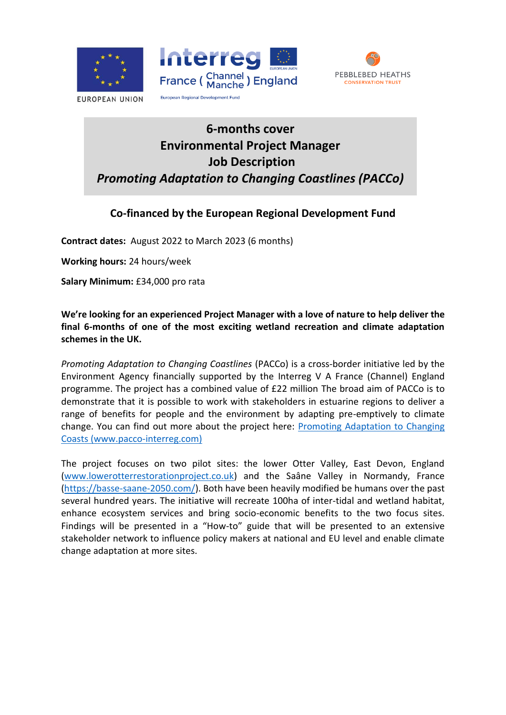

**EUROPEAN UNION** 





# **6-months cover Environmental Project Manager Job Description** *Promoting Adaptation to Changing Coastlines (PACCo)*

## **Co-financed by the European Regional Development Fund**

**Contract dates:** August 2022 to March 2023 (6 months)

**Working hours:** 24 hours/week

**Salary Minimum:** £34,000 pro rata

**We're looking for an experienced Project Manager with a love of nature to help deliver the final 6-months of one of the most exciting wetland recreation and climate adaptation schemes in the UK.** 

*Promoting Adaptation to Changing Coastlines* (PACCo) is a cross-border initiative led by the Environment Agency financially supported by the Interreg V A France (Channel) England programme. The project has a combined value of £22 million The broad aim of PACCo is to demonstrate that it is possible to work with stakeholders in estuarine regions to deliver a range of benefits for people and the environment by adapting pre-emptively to climate change. You can find out more about the project here: Promoting Adaptation to Changing Coasts (www.pacco-interreg.com)

The project focuses on two pilot sites: the lower Otter Valley, East Devon, England [\(www.lowerotterrestorationproject.co.uk\)](http://www.lowerotterrestorationproject.co.uk/) and the Saâne Valley in Normandy, France [\(https://basse-saane-2050.com/\)](https://basse-saane-2050.com/). Both have been heavily modified be humans over the past several hundred years. The initiative will recreate 100ha of inter-tidal and wetland habitat, enhance ecosystem services and bring socio-economic benefits to the two focus sites. Findings will be presented in a "How-to" guide that will be presented to an extensive stakeholder network to influence policy makers at national and EU level and enable climate change adaptation at more sites.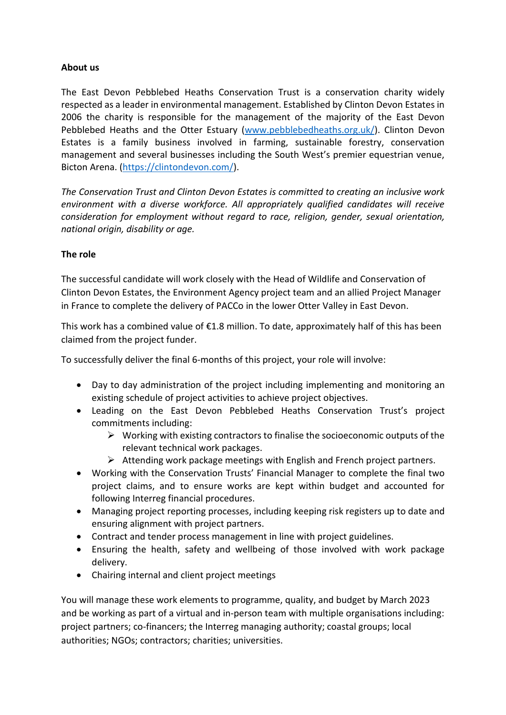## **About us**

The East Devon Pebblebed Heaths Conservation Trust is a conservation charity widely respected as a leader in environmental management. Established by Clinton Devon Estates in 2006 the charity is responsible for the management of the majority of the East Devon Pebblebed Heaths and the Otter Estuary [\(www.pebblebedheaths.org.uk/\)](http://www.pebblebedheaths.org.uk/). Clinton Devon Estates is a family business involved in farming, sustainable forestry, conservation management and several businesses including the South West's premier equestrian venue, Bicton Arena. [\(https://clintondevon.com/\)](https://clintondevon.com/).

*The Conservation Trust and Clinton Devon Estates is committed to creating an inclusive work environment with a diverse workforce. All appropriately qualified candidates will receive consideration for employment without regard to race, religion, gender, sexual orientation, national origin, disability or age.*

## **The role**

The successful candidate will work closely with the Head of Wildlife and Conservation of Clinton Devon Estates, the Environment Agency project team and an allied Project Manager in France to complete the delivery of PACCo in the lower Otter Valley in East Devon.

This work has a combined value of  $\epsilon$ 1.8 million. To date, approximately half of this has been claimed from the project funder.

To successfully deliver the final 6-months of this project, your role will involve:

- Day to day administration of the project including implementing and monitoring an existing schedule of project activities to achieve project objectives.
- Leading on the East Devon Pebblebed Heaths Conservation Trust's project commitments including:
	- $\triangleright$  Working with existing contractors to finalise the socioeconomic outputs of the relevant technical work packages.
	- ➢ Attending work package meetings with English and French project partners.
- Working with the Conservation Trusts' Financial Manager to complete the final two project claims, and to ensure works are kept within budget and accounted for following Interreg financial procedures.
- Managing project reporting processes, including keeping risk registers up to date and ensuring alignment with project partners.
- Contract and tender process management in line with project guidelines.
- Ensuring the health, safety and wellbeing of those involved with work package delivery.
- Chairing internal and client project meetings

You will manage these work elements to programme, quality, and budget by March 2023 and be working as part of a virtual and in-person team with multiple organisations including: project partners; co-financers; the Interreg managing authority; coastal groups; local authorities; NGOs; contractors; charities; universities.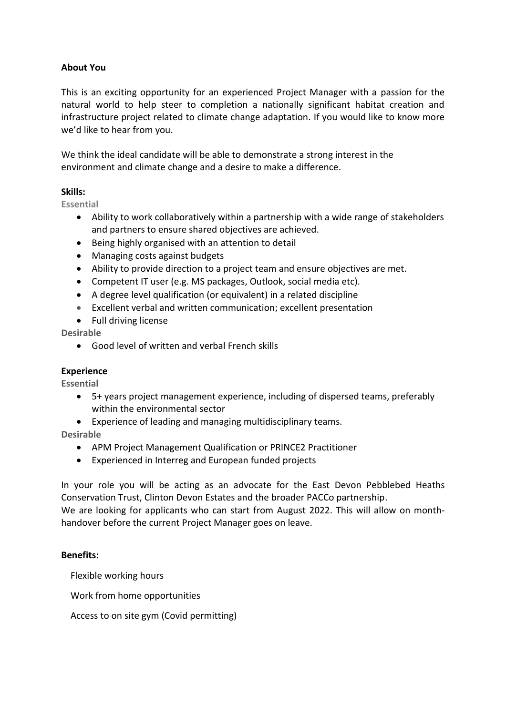## **About You**

This is an exciting opportunity for an experienced Project Manager with a passion for the natural world to help steer to completion a nationally significant habitat creation and infrastructure project related to climate change adaptation. If you would like to know more we'd like to hear from you.

We think the ideal candidate will be able to demonstrate a strong interest in the environment and climate change and a desire to make a difference.

#### **Skills:**

**Essential**

- Ability to work collaboratively within a partnership with a wide range of stakeholders and partners to ensure shared objectives are achieved.
- Being highly organised with an attention to detail
- Managing costs against budgets
- Ability to provide direction to a project team and ensure objectives are met.
- Competent IT user (e.g. MS packages, Outlook, social media etc).
- A degree level qualification (or equivalent) in a related discipline
- Excellent verbal and written communication; excellent presentation
- Full driving license

#### **Desirable**

• Good level of written and verbal French skills

#### **Experience**

**Essential** 

- 5+ years project management experience, including of dispersed teams, preferably within the environmental sector
- Experience of leading and managing multidisciplinary teams.

**Desirable**

- APM Project Management Qualification or PRINCE2 Practitioner
- Experienced in Interreg and European funded projects

In your role you will be acting as an advocate for the East Devon Pebblebed Heaths Conservation Trust, Clinton Devon Estates and the broader PACCo partnership. We are looking for applicants who can start from August 2022. This will allow on monthhandover before the current Project Manager goes on leave.

#### **Benefits:**

Flexible working hours

Work from home opportunities

Access to on site gym (Covid permitting)